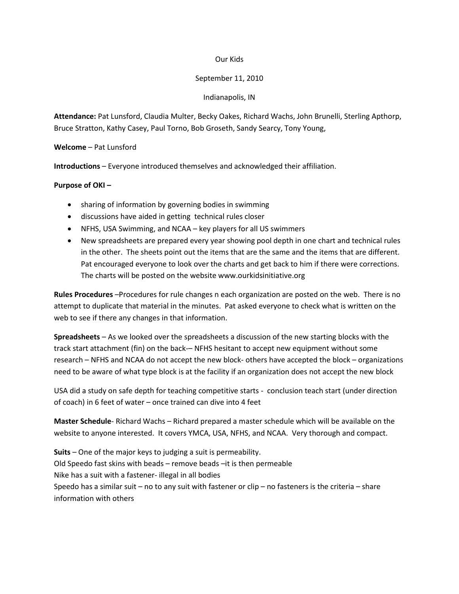## Our Kids

## September 11, 2010

## Indianapolis, IN

**Attendance:** Pat Lunsford, Claudia Multer, Becky Oakes, Richard Wachs, John Brunelli, Sterling Apthorp, Bruce Stratton, Kathy Casey, Paul Torno, Bob Groseth, Sandy Searcy, Tony Young,

**Welcome** – Pat Lunsford

**Introductions** – Everyone introduced themselves and acknowledged their affiliation.

## **Purpose of OKI –**

- sharing of information by governing bodies in swimming
- discussions have aided in getting technical rules closer
- NFHS, USA Swimming, and NCAA key players for all US swimmers
- New spreadsheets are prepared every year showing pool depth in one chart and technical rules in the other. The sheets point out the items that are the same and the items that are different. Pat encouraged everyone to look over the charts and get back to him if there were corrections. The charts will be posted on the website www.ourkidsinitiative.org

**Rules Procedures** –Procedures for rule changes n each organization are posted on the web. There is no attempt to duplicate that material in the minutes. Pat asked everyone to check what is written on the web to see if there any changes in that information.

**Spreadsheets** – As we looked over the spreadsheets a discussion of the new starting blocks with the track start attachment (fin) on the back-– NFHS hesitant to accept new equipment without some research – NFHS and NCAA do not accept the new block- others have accepted the block – organizations need to be aware of what type block is at the facility if an organization does not accept the new block

USA did a study on safe depth for teaching competitive starts - conclusion teach start (under direction of coach) in 6 feet of water – once trained can dive into 4 feet

**Master Schedule**- Richard Wachs – Richard prepared a master schedule which will be available on the website to anyone interested. It covers YMCA, USA, NFHS, and NCAA. Very thorough and compact.

**Suits** – One of the major keys to judging a suit is permeability. Old Speedo fast skins with beads – remove beads –it is then permeable Nike has a suit with a fastener- illegal in all bodies Speedo has a similar suit – no to any suit with fastener or clip – no fasteners is the criteria – share information with others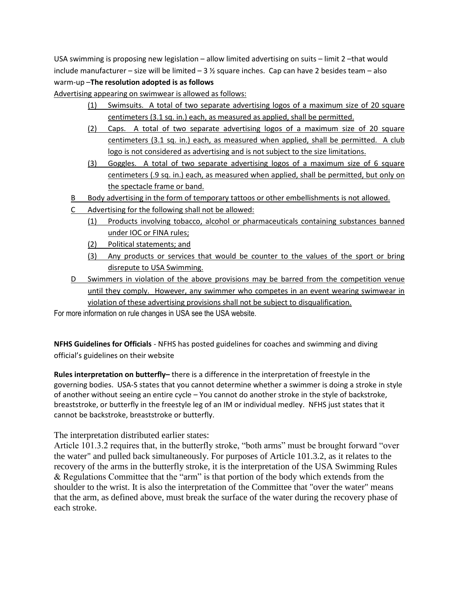USA swimming is proposing new legislation – allow limited advertising on suits – limit 2 – that would include manufacturer – size will be limited –  $3\frac{1}{2}$  square inches. Cap can have 2 besides team – also warm-up –**The resolution adopted is as follows**

Advertising appearing on swimwear is allowed as follows:

- (1) Swimsuits. A total of two separate advertising logos of a maximum size of 20 square centimeters (3.1 sq. in.) each, as measured as applied, shall be permitted.
- (2) Caps. A total of two separate advertising logos of a maximum size of 20 square centimeters (3.1 sq. in.) each, as measured when applied, shall be permitted. A club logo is not considered as advertising and is not subject to the size limitations.
- (3) Goggles. A total of two separate advertising logos of a maximum size of 6 square centimeters (.9 sq. in.) each, as measured when applied, shall be permitted, but only on the spectacle frame or band.
- B Body advertising in the form of temporary tattoos or other embellishments is not allowed.
- C Advertising for the following shall not be allowed:
	- (1) Products involving tobacco, alcohol or pharmaceuticals containing substances banned under IOC or FINA rules;
	- (2) Political statements; and
	- (3) Any products or services that would be counter to the values of the sport or bring disrepute to USA Swimming.
- D Swimmers in violation of the above provisions may be barred from the competition venue until they comply. However, any swimmer who competes in an event wearing swimwear in violation of these advertising provisions shall not be subject to disqualification.

For more information on rule changes in USA see the USA website.

**NFHS Guidelines for Officials** - NFHS has posted guidelines for coaches and swimming and diving official's guidelines on their website

**Rules interpretation on butterfly–** there is a difference in the interpretation of freestyle in the governing bodies. USA-S states that you cannot determine whether a swimmer is doing a stroke in style of another without seeing an entire cycle – You cannot do another stroke in the style of backstroke, breaststroke, or butterfly in the freestyle leg of an IM or individual medley. NFHS just states that it cannot be backstroke, breaststroke or butterfly.

The interpretation distributed earlier states:

Article 101.3.2 requires that, in the butterfly stroke, "both arms" must be brought forward "over the water" and pulled back simultaneously. For purposes of Article 101.3.2, as it relates to the recovery of the arms in the butterfly stroke, it is the interpretation of the USA Swimming Rules & Regulations Committee that the "arm" is that portion of the body which extends from the shoulder to the wrist. It is also the interpretation of the Committee that "over the water" means that the arm, as defined above, must break the surface of the water during the recovery phase of each stroke.